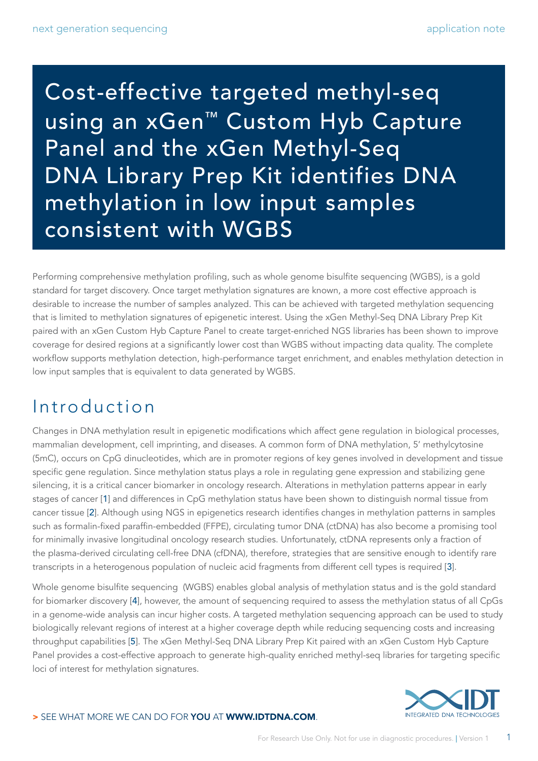Cost-effective targeted methyl-seq using an xGen™ Custom Hyb Capture Panel and the xGen Methyl-Seq DNA Library Prep Kit identifies DNA methylation in low input samples consistent with WGBS

Performing comprehensive methylation profiling, such as whole genome bisulfite sequencing (WGBS), is a gold standard for target discovery. Once target methylation signatures are known, a more cost effective approach is desirable to increase the number of samples analyzed. This can be achieved with targeted methylation sequencing that is limited to methylation signatures of epigenetic interest. Using the xGen Methyl-Seq DNA Library Prep Kit paired with an xGen Custom Hyb Capture Panel to create target-enriched NGS libraries has been shown to improve coverage for desired regions at a significantly lower cost than WGBS without impacting data quality. The complete workflow supports methylation detection, high-performance target enrichment, and enables methylation detection in low input samples that is equivalent to data generated by WGBS.

# Introduction

Changes in DNA methylation result in epigenetic modifications which affect gene regulation in biological processes, mammalian development, cell imprinting, and diseases. A common form of DNA methylation, 5' methylcytosine (5mC), occurs on CpG dinucleotides, which are in promoter regions of key genes involved in development and tissue specific gene regulation. Since methylation status plays a role in regulating gene expression and stabilizing gene silencing, it is a critical cancer biomarker in oncology research. Alterations in methylation patterns appear in early stages of cancer [[1](#page-9-0)] and differences in CpG methylation status have been shown to distinguish normal tissue from cancer tissue [[2](#page-9-1)]. Although using NGS in epigenetics research identifies changes in methylation patterns in samples such as formalin-fixed paraffin-embedded (FFPE), circulating tumor DNA (ctDNA) has also become a promising tool for minimally invasive longitudinal oncology research studies. Unfortunately, ctDNA represents only a fraction of the plasma-derived circulating cell-free DNA (cfDNA), therefore, strategies that are sensitive enough to identify rare transcripts in a heterogenous population of nucleic acid fragments from different cell types is required [[3](#page-9-2)].

Whole genome bisulfite sequencing (WGBS) enables global analysis of methylation status and is the gold standard for biomarker discovery [[4](#page-9-3)], however, the amount of sequencing required to assess the methylation status of all CpGs in a genome-wide analysis can incur higher costs. A targeted methylation sequencing approach can be used to study biologically relevant regions of interest at a higher coverage depth while reducing sequencing costs and increasing throughput capabilities [[5](#page-9-4)]. The xGen Methyl-Seq DNA Library Prep Kit paired with an xGen Custom Hyb Capture Panel provides a cost-effective approach to generate high-quality enriched methyl-seq libraries for targeting specific loci of interest for methylation signatures.

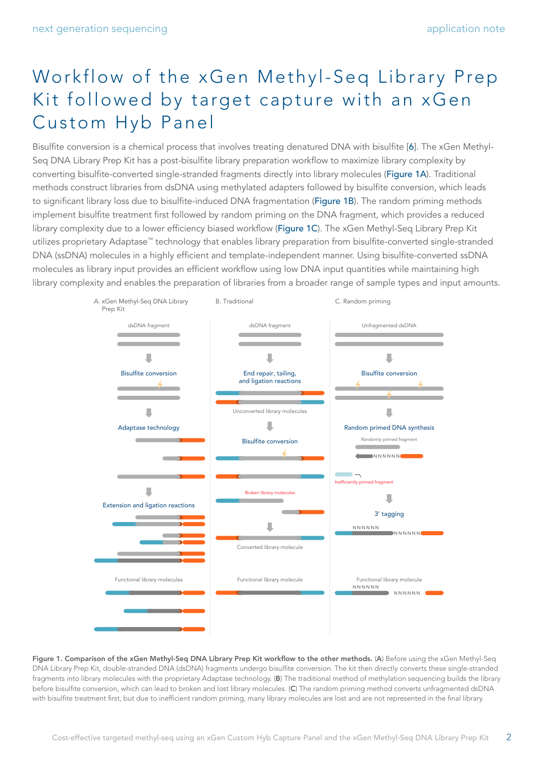# Workflow of the xGen Methyl-Seq Library Prep Kit followed by target capture with an xGen Custom Hyb Panel

Bisulfite conversion is a chemical process that involves treating denatured DNA with bisulfite [[6](#page-9-5)]. The xGen Methyl-Seq DNA Library Prep Kit has a post-bisulfite library preparation workflow to maximize library complexity by converting bisulfite-converted single-stranded fragments directly into library molecules (Figure 1A). Traditional methods construct libraries from dsDNA using methylated adapters followed by bisulfite conversion, which leads to significant library loss due to bisulfite-induced DNA fragmentation (Figure 1B). The random priming methods implement bisulfite treatment first followed by random priming on the DNA fragment, which provides a reduced library complexity due to a lower efficiency biased workflow (Figure 1C). The xGen Methyl-Seq Library Prep Kit utilizes proprietary Adaptase™ technology that enables library preparation from bisulfite-converted single-stranded DNA (ssDNA) molecules in a highly efficient and template-independent manner. Using bisulfite-converted ssDNA molecules as library input provides an efficient workflow using low DNA input quantities while maintaining high library complexity and enables the preparation of libraries from a broader range of sample types and input amounts.



Figure 1. Comparison of the xGen Methyl-Seq DNA Library Prep Kit workflow to the other methods. (A) Before using the xGen Methyl-Seq DNA Library Prep Kit, double-stranded DNA (dsDNA) fragments undergo bisulfite conversion. The kit then directly converts these single-stranded fragments into library molecules with the proprietary Adaptase technology. (B) The traditional method of methylation sequencing builds the library before bisulfite conversion, which can lead to broken and lost library molecules. (C) The random priming method converts unfragmented dsDNA with bisulfite treatment first, but due to inefficient random priming, many library molecules are lost and are not represented in the final library.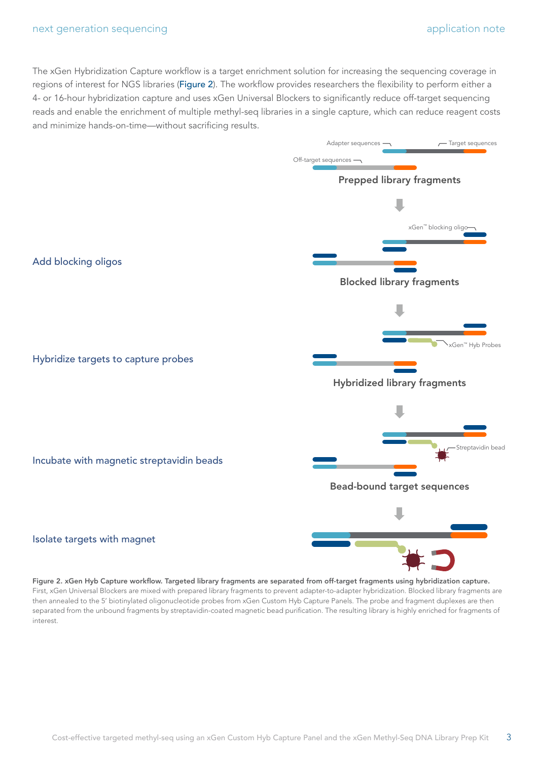The xGen Hybridization Capture workflow is a target enrichment solution for increasing the sequencing coverage in regions of interest for NGS libraries (Figure 2). The workflow provides researchers the flexibility to perform either a 4- or 16-hour hybridization capture and uses xGen Universal Blockers to significantly reduce off-target sequencing reads and enable the enrichment of multiple methyl-seq libraries in a single capture, which can reduce reagent costs and minimize hands-on-time—without sacrificing results.



Figure 2. xGen Hyb Capture workflow. Targeted library fragments are separated from off-target fragments using hybridization capture. First, xGen Universal Blockers are mixed with prepared library fragments to prevent adapter-to-adapter hybridization. Blocked library fragments are then annealed to the 5' biotinylated oligonucleotide probes from xGen Custom Hyb Capture Panels. The probe and fragment duplexes are then separated from the unbound fragments by streptavidin-coated magnetic bead purification. The resulting library is highly enriched for fragments of interest.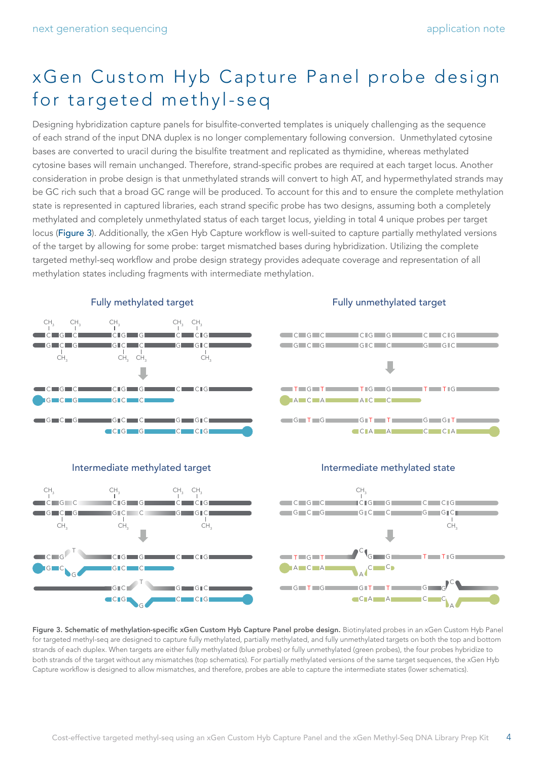# xGen Custom Hyb Capture Panel probe design for targeted methyl-seq

Designing hybridization capture panels for bisulfite-converted templates is uniquely challenging as the sequence of each strand of the input DNA duplex is no longer complementary following conversion. Unmethylated cytosine bases are converted to uracil during the bisulfite treatment and replicated as thymidine, whereas methylated cytosine bases will remain unchanged. Therefore, strand-specific probes are required at each target locus. Another consideration in probe design is that unmethylated strands will convert to high AT, and hypermethylated strands may be GC rich such that a broad GC range will be produced. To account for this and to ensure the complete methylation state is represented in captured libraries, each strand specific probe has two designs, assuming both a completely methylated and completely unmethylated status of each target locus, yielding in total 4 unique probes per target locus (Figure 3). Additionally, the xGen Hyb Capture workflow is well-suited to capture partially methylated versions of the target by allowing for some probe: target mismatched bases during hybridization. Utilizing the complete targeted methyl-seq workflow and probe design strategy provides adequate coverage and representation of all methylation states including fragments with intermediate methylation.



### Fully unmethylated target







#### Intermediate methylated state



Figure 3. Schematic of methylation-specific xGen Custom Hyb Capture Panel probe design. Biotinylated probes in an xGen Custom Hyb Panel for targeted methyl-seq are designed to capture fully methylated, partially methylated, and fully unmethylated targets on both the top and bottom strands of each duplex. When targets are either fully methylated (blue probes) or fully unmethylated (green probes), the four probes hybridize to both strands of the target without any mismatches (top schematics). For partially methylated versions of the same target sequences, the xGen Hyb Capture workflow is designed to allow mismatches, and therefore, probes are able to capture the intermediate states (lower schematics).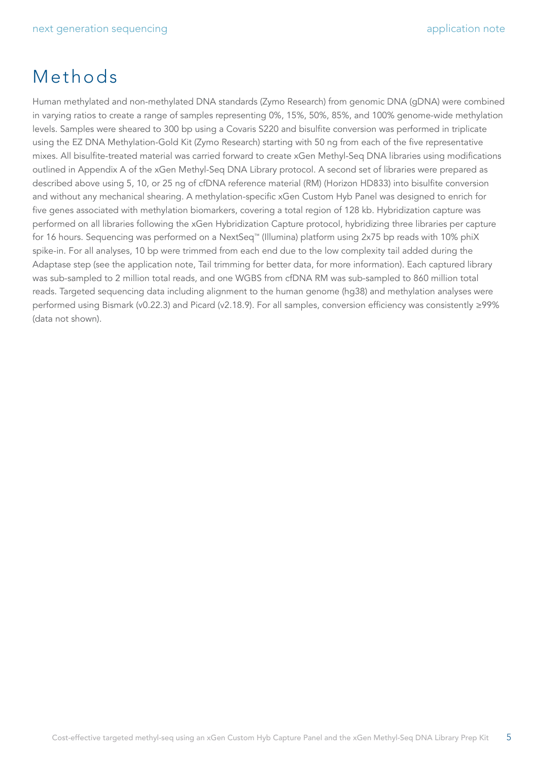# Methods

Human methylated and non-methylated DNA standards (Zymo Research) from genomic DNA (gDNA) were combined in varying ratios to create a range of samples representing 0%, 15%, 50%, 85%, and 100% genome-wide methylation levels. Samples were sheared to 300 bp using a Covaris S220 and bisulfite conversion was performed in triplicate using the EZ DNA Methylation-Gold Kit (Zymo Research) starting with 50 ng from each of the five representative mixes. All bisulfite-treated material was carried forward to create xGen Methyl-Seq DNA libraries using modifications outlined in Appendix A of the xGen Methyl-Seq DNA Library protocol. A second set of libraries were prepared as described above using 5, 10, or 25 ng of cfDNA reference material (RM) (Horizon HD833) into bisulfite conversion and without any mechanical shearing. A methylation-specific xGen Custom Hyb Panel was designed to enrich for five genes associated with methylation biomarkers, covering a total region of 128 kb. Hybridization capture was performed on all libraries following the xGen Hybridization Capture protocol, hybridizing three libraries per capture for 16 hours. Sequencing was performed on a NextSeq™ (Illumina) platform using 2x75 bp reads with 10% phiX spike-in. For all analyses, 10 bp were trimmed from each end due to the low complexity tail added during the Adaptase step (see the application note, Tail trimming for better data, for more information). Each captured library was sub-sampled to 2 million total reads, and one WGBS from cfDNA RM was sub-sampled to 860 million total reads. Targeted sequencing data including alignment to the human genome (hg38) and methylation analyses were performed using Bismark (v0.22.3) and Picard (v2.18.9). For all samples, conversion efficiency was consistently ≥99% (data not shown).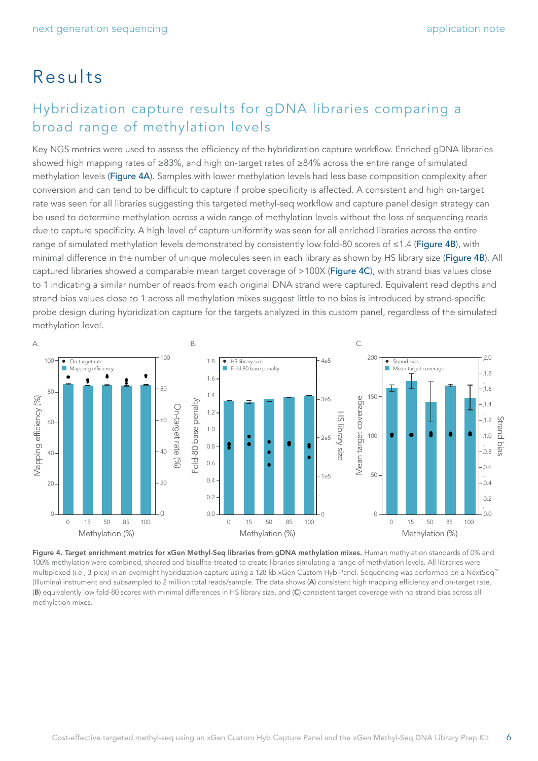# Results

### Hybridization capture results for gDNA libraries comparing a broad range of methylation levels

Key NGS metrics were used to assess the efficiency of the hybridization capture workflow. Enriched gDNA libraries showed high mapping rates of ≥83%, and high on-target rates of ≥84% across the entire range of simulated methylation levels (Figure 4A). Samples with lower methylation levels had less base composition complexity after conversion and can tend to be difficult to capture if probe specificity is affected. A consistent and high on-target rate was seen for all libraries suggesting this targeted methyl-seq workflow and capture panel design strategy can be used to determine methylation across a wide range of methylation levels without the loss of sequencing reads due to capture specificity. A high level of capture uniformity was seen for all enriched libraries across the entire range of simulated methylation levels demonstrated by consistently low fold-80 scores of ≤1.4 (Figure 4B), with minimal difference in the number of unique molecules seen in each library as shown by HS library size (Figure 4B). All captured libraries showed a comparable mean target coverage of >100X (Figure 4C), with strand bias values close to 1 indicating a similar number of reads from each original DNA strand were captured. Equivalent read depths and strand bias values close to 1 across all methylation mixes suggest little to no bias is introduced by strand-specific probe design during hybridization capture for the targets analyzed in this custom panel, regardless of the simulated methylation level.



Figure 4. Target enrichment metrics for xGen Methyl-Seq libraries from gDNA methylation mixes. Human methylation standards of 0% and 100% methylation were combined, sheared and bisulfite-treated to create libraries simulating a range of methylation levels. All libraries were multiplexed (i.e., 3-plex) in an overnight hybridization capture using a 128 kb xGen Custom Hyb Panel. Sequencing was performed on a NextSeq™ (Illumina) instrument and subsampled to 2 million total reads/sample. The data shows (A) consistent high mapping efficiency and on-target rate, (B) equivalently low fold-80 scores with minimal differences in HS library size, and (C) consistent target coverage with no strand bias across all methylation mixes.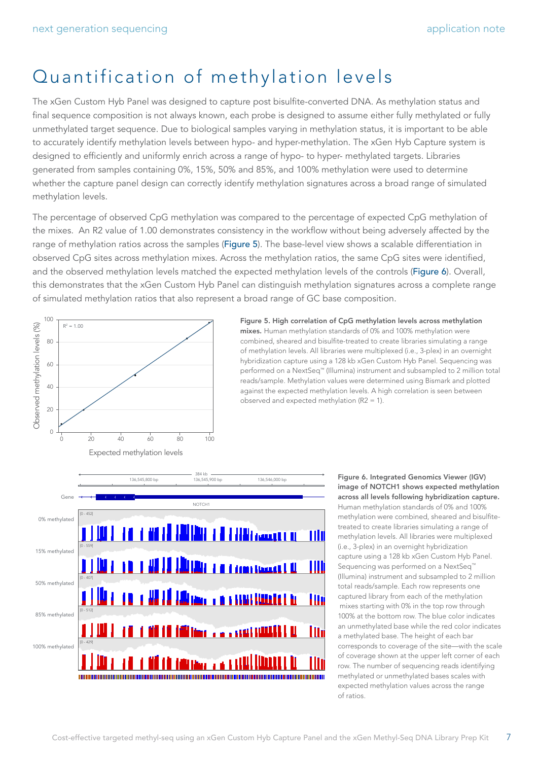# Quantification of methylation levels

The xGen Custom Hyb Panel was designed to capture post bisulfite-converted DNA. As methylation status and final sequence composition is not always known, each probe is designed to assume either fully methylated or fully unmethylated target sequence. Due to biological samples varying in methylation status, it is important to be able to accurately identify methylation levels between hypo- and hyper-methylation. The xGen Hyb Capture system is designed to efficiently and uniformly enrich across a range of hypo- to hyper- methylated targets. Libraries generated from samples containing 0%, 15%, 50% and 85%, and 100% methylation were used to determine whether the capture panel design can correctly identify methylation signatures across a broad range of simulated methylation levels.

The percentage of observed CpG methylation was compared to the percentage of expected CpG methylation of the mixes. An R2 value of 1.00 demonstrates consistency in the workflow without being adversely affected by the range of methylation ratios across the samples (Figure 5). The base-level view shows a scalable differentiation in observed CpG sites across methylation mixes. Across the methylation ratios, the same CpG sites were identified, and the observed methylation levels matched the expected methylation levels of the controls (Figure 6). Overall, this demonstrates that the xGen Custom Hyb Panel can distinguish methylation signatures across a complete range of simulated methylation ratios that also represent a broad range of GC base composition.



Figure 5. High correlation of CpG methylation levels across methylation mixes. Human methylation standards of 0% and 100% methylation were combined, sheared and bisulfite-treated to create libraries simulating a range of methylation levels. All libraries were multiplexed (i.e., 3-plex) in an overnight hybridization capture using a 128 kb xGen Custom Hyb Panel. Sequencing was performed on a NextSeq™ (Illumina) instrument and subsampled to 2 million total reads/sample. Methylation values were determined using Bismark and plotted against the expected methylation levels. A high correlation is seen between observed and expected methylation (R2 = 1).



Figure 6. Integrated Genomics Viewer (IGV) image of NOTCH1 shows expected methylation across all levels following hybridization capture. Human methylation standards of 0% and 100% methylation were combined, sheared and bisulfitetreated to create libraries simulating a range of methylation levels. All libraries were multiplexed (i.e., 3-plex) in an overnight hybridization capture using a 128 kb xGen Custom Hyb Panel. Sequencing was performed on a NextSeq<sup>™</sup> (Illumina) instrument and subsampled to 2 million total reads/sample. Each row represents one captured library from each of the methylation mixes starting with 0% in the top row through 100% at the bottom row. The blue color indicates an unmethylated base while the red color indicates a methylated base. The height of each bar corresponds to coverage of the site—with the scale of coverage shown at the upper left corner of each row. The number of sequencing reads identifying methylated or unmethylated bases scales with expected methylation values across the range of ratios.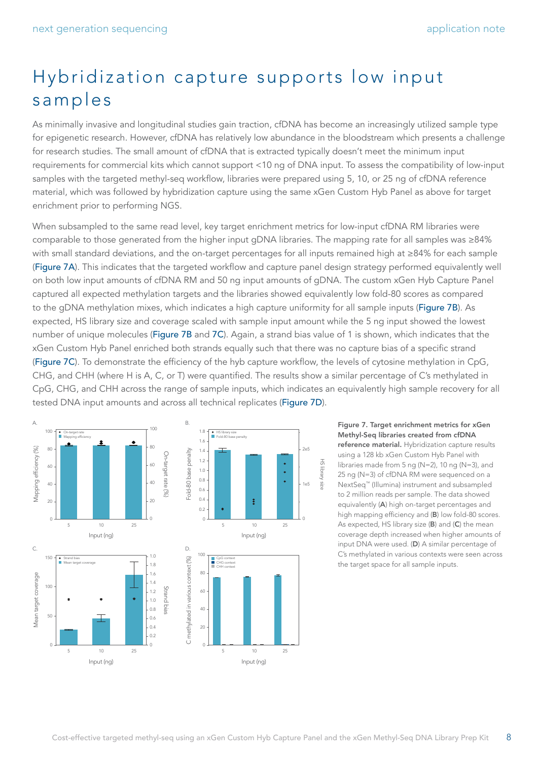# Hybridization capture supports low input samples

As minimally invasive and longitudinal studies gain traction, cfDNA has become an increasingly utilized sample type for epigenetic research. However, cfDNA has relatively low abundance in the bloodstream which presents a challenge for research studies. The small amount of cfDNA that is extracted typically doesn't meet the minimum input requirements for commercial kits which cannot support <10 ng of DNA input. To assess the compatibility of low-input samples with the targeted methyl-seq workflow, libraries were prepared using 5, 10, or 25 ng of cfDNA reference material, which was followed by hybridization capture using the same xGen Custom Hyb Panel as above for target enrichment prior to performing NGS.

When subsampled to the same read level, key target enrichment metrics for low-input cfDNA RM libraries were comparable to those generated from the higher input gDNA libraries. The mapping rate for all samples was ≥84% with small standard deviations, and the on-target percentages for all inputs remained high at ≥84% for each sample (Figure 7A). This indicates that the targeted workflow and capture panel design strategy performed equivalently well on both low input amounts of cfDNA RM and 50 ng input amounts of gDNA. The custom xGen Hyb Capture Panel captured all expected methylation targets and the libraries showed equivalently low fold-80 scores as compared to the gDNA methylation mixes, which indicates a high capture uniformity for all sample inputs (Figure 7B). As expected, HS library size and coverage scaled with sample input amount while the 5 ng input showed the lowest number of unique molecules (Figure 7B and 7C). Again, a strand bias value of 1 is shown, which indicates that the xGen Custom Hyb Panel enriched both strands equally such that there was no capture bias of a specific strand (Figure 7C). To demonstrate the efficiency of the hyb capture workflow, the levels of cytosine methylation in CpG, CHG, and CHH (where H is A, C, or T) were quantified. The results show a similar percentage of C's methylated in CpG, CHG, and CHH across the range of sample inputs, which indicates an equivalently high sample recovery for all tested DNA input amounts and across all technical replicates (Figure 7D).



Figure 7. Target enrichment metrics for xGen Methyl-Seq libraries created from cfDNA reference material. Hybridization capture results using a 128 kb xGen Custom Hyb Panel with libraries made from 5 ng (N=2), 10 ng (N=3), and 25 ng (N=3) of cfDNA RM were sequenced on a NextSeq™ (Illumina) instrument and subsampled to 2 million reads per sample. The data showed equivalently (A) high on-target percentages and high mapping efficiency and (B) low fold-80 scores. As expected, HS library size (B) and (C) the mean coverage depth increased when higher amounts of input DNA were used. (D) A similar percentage of C's methylated in various contexts were seen across the target space for all sample inputs.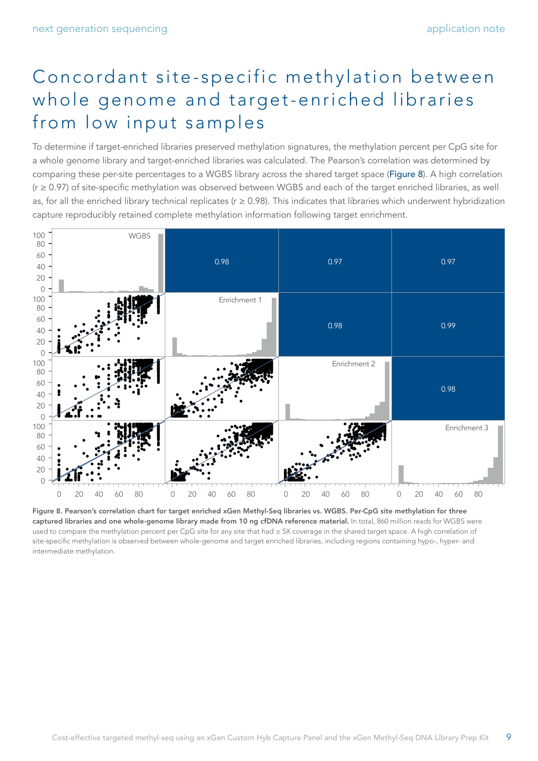# Concordant site-specific methylation between whole genome and target-enriched libraries from low input samples

To determine if target-enriched libraries preserved methylation signatures, the methylation percent per CpG site for a whole genome library and target-enriched libraries was calculated. The Pearson's correlation was determined by comparing these per-site percentages to a WGBS library across the shared target space (Figure 8). A high correlation (r ≥ 0.97) of site-specific methylation was observed between WGBS and each of the target enriched libraries, as well as, for all the enriched library technical replicates ( $r \ge 0.98$ ). This indicates that libraries which underwent hybridization capture reproducibly retained complete methylation information following target enrichment.



Figure 8. Pearson's correlation chart for target enriched xGen Methyl-Seq libraries vs. WGBS. Per-CpG site methylation for three captured libraries and one whole-genome library made from 10 ng cfDNA reference material. In total, 860 million reads for WGBS were used to compare the methylation percent per CpG site for any site that had ≥ 5X coverage in the shared target space. A high correlation of site-specific methylation is observed between whole-genome and target enriched libraries, including regions containing hypo-, hyper- and intermediate methylation.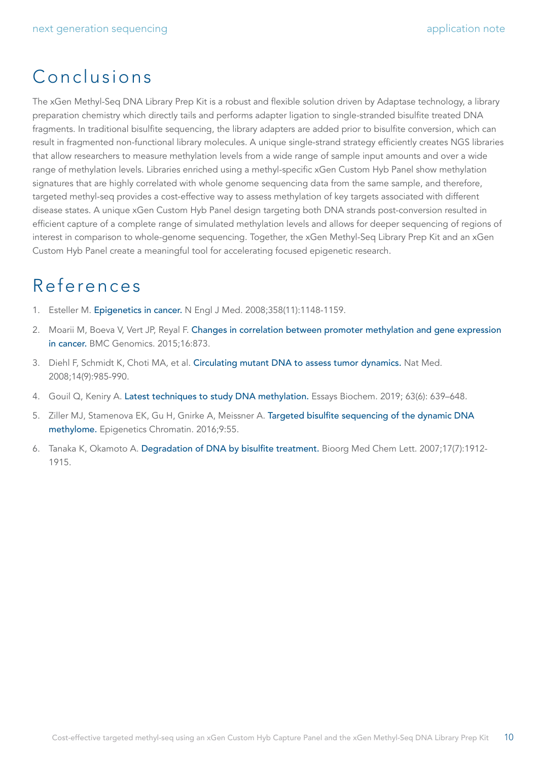## Conclusions

The xGen Methyl-Seq DNA Library Prep Kit is a robust and flexible solution driven by Adaptase technology, a library preparation chemistry which directly tails and performs adapter ligation to single-stranded bisulfite treated DNA fragments. In traditional bisulfite sequencing, the library adapters are added prior to bisulfite conversion, which can result in fragmented non-functional library molecules. A unique single-strand strategy efficiently creates NGS libraries that allow researchers to measure methylation levels from a wide range of sample input amounts and over a wide range of methylation levels. Libraries enriched using a methyl-specific xGen Custom Hyb Panel show methylation signatures that are highly correlated with whole genome sequencing data from the same sample, and therefore, targeted methyl-seq provides a cost-effective way to assess methylation of key targets associated with different disease states. A unique xGen Custom Hyb Panel design targeting both DNA strands post-conversion resulted in efficient capture of a complete range of simulated methylation levels and allows for deeper sequencing of regions of interest in comparison to whole-genome sequencing. Together, the xGen Methyl-Seq Library Prep Kit and an xGen Custom Hyb Panel create a meaningful tool for accelerating focused epigenetic research.

### References

- <span id="page-9-0"></span>1. Esteller M. [Epigenetics in cancer.](https://pubmed.ncbi.nlm.nih.gov/18337604/) N Engl J Med. 2008;358(11):1148-1159.
- <span id="page-9-1"></span>2. Moarii M, Boeva V, Vert JP, Reyal F. [Changes in correlation between promoter methylation and gene expression](https://pubmed.ncbi.nlm.nih.gov/26510534/)  [in cancer.](https://pubmed.ncbi.nlm.nih.gov/26510534/) BMC Genomics. 2015;16:873.
- <span id="page-9-2"></span>3. Diehl F, Schmidt K, Choti MA, et al. [Circulating mutant DNA to assess tumor dynamics.](https://pubmed.ncbi.nlm.nih.gov/18670422/) Nat Med. 2008;14(9):985-990.
- <span id="page-9-3"></span>4. Gouil Q, Keniry A. [Latest techniques to study DNA methylation.](https://pubmed.ncbi.nlm.nih.gov/31755932/) Essays Biochem. 2019; 63(6): 639–648.
- <span id="page-9-4"></span>5. Ziller MJ, Stamenova EK, Gu H, Gnirke A, Meissner A. [Targeted bisulfite sequencing of the dynamic DNA](https://pubmed.ncbi.nlm.nih.gov/27980681/)  [methylome.](https://pubmed.ncbi.nlm.nih.gov/27980681/) Epigenetics Chromatin. 2016;9:55.
- <span id="page-9-5"></span>6. Tanaka K, Okamoto A. [Degradation of DNA by bisulfite treatment.](https://pubmed.ncbi.nlm.nih.gov/17276678/) Bioorg Med Chem Lett. 2007;17(7):1912- 1915.